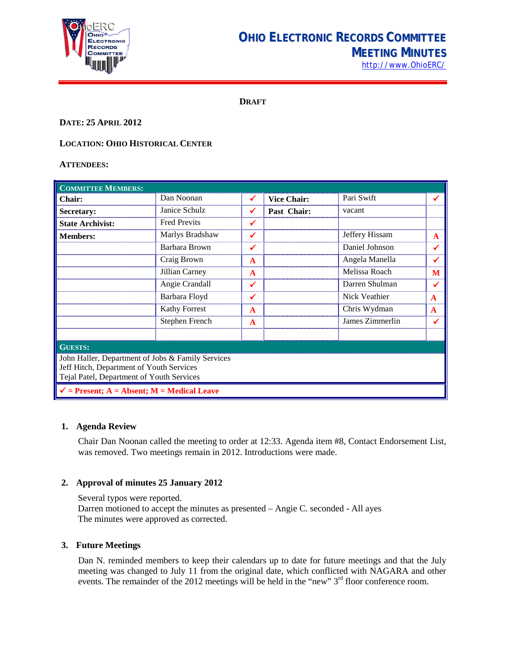

# **OHIO ELECTRONIC RECORDS COMMITTEE MEETING MINUTES** [http://www.OhioERC/](http://www.ohioerc/)

**DRAFT**

# **DATE: 25 APRIL 2012**

# **LOCATION: OHIO HISTORICAL CENTER**

#### **ATTENDEES:**

| <b>COMMITTEE MEMBERS:</b>                                                                                                                  |                      |              |                    |                 |   |  |
|--------------------------------------------------------------------------------------------------------------------------------------------|----------------------|--------------|--------------------|-----------------|---|--|
| Chair:                                                                                                                                     | Dan Noonan           | ✔            | <b>Vice Chair:</b> | Pari Swift      |   |  |
| Secretary:                                                                                                                                 | Janice Schulz        | ✔            | Past Chair:        | vacant          |   |  |
| <b>State Archivist:</b>                                                                                                                    | <b>Fred Previts</b>  | ✔            |                    |                 |   |  |
| <b>Members:</b>                                                                                                                            | Marlys Bradshaw      | ✓            |                    | Jeffery Hissam  | A |  |
|                                                                                                                                            | Barbara Brown        | ✔            |                    | Daniel Johnson  |   |  |
|                                                                                                                                            | Craig Brown          | A            |                    | Angela Manella  |   |  |
|                                                                                                                                            | Jillian Carney       | A            |                    | Melissa Roach   | M |  |
|                                                                                                                                            | Angie Crandall       | ✔            |                    | Darren Shulman  |   |  |
|                                                                                                                                            | Barbara Floyd        | ✔            |                    | Nick Veathier   | A |  |
|                                                                                                                                            | <b>Kathy Forrest</b> | $\mathbf{A}$ |                    | Chris Wydman    | A |  |
|                                                                                                                                            | Stephen French       | A            |                    | James Zimmerlin |   |  |
|                                                                                                                                            |                      |              |                    |                 |   |  |
| <b>GUESTS:</b>                                                                                                                             |                      |              |                    |                 |   |  |
| John Haller, Department of Jobs & Family Services<br>Jeff Hitch, Department of Youth Services<br>Tejal Patel, Department of Youth Services |                      |              |                    |                 |   |  |
| $\checkmark$ = Present; A = Absent; M = Medical Leave                                                                                      |                      |              |                    |                 |   |  |

#### **1. Agenda Review**

Chair Dan Noonan called the meeting to order at 12:33. Agenda item #8, Contact Endorsement List, was removed. Two meetings remain in 2012. Introductions were made.

### **2. Approval of minutes 25 January 2012**

Several typos were reported. Darren motioned to accept the minutes as presented – Angie C. seconded - All ayes The minutes were approved as corrected.

### **3. Future Meetings**

Dan N. reminded members to keep their calendars up to date for future meetings and that the July meeting was changed to July 11 from the original date, which conflicted with NAGARA and other events. The remainder of the 2012 meetings will be held in the "new" 3<sup>rd</sup> floor conference room.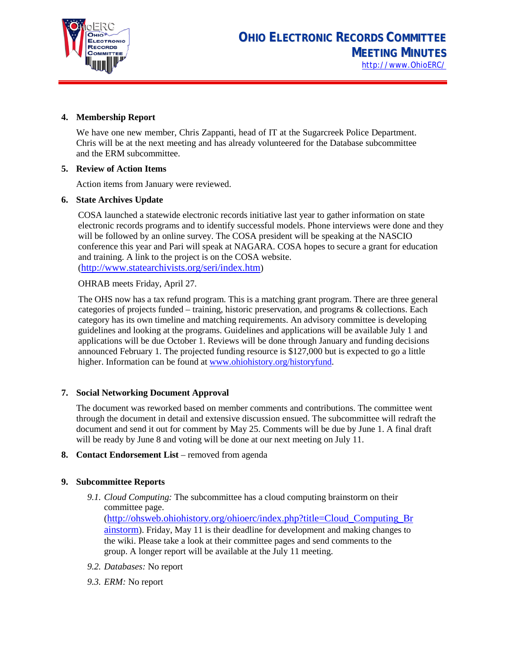

### **4. Membership Report**

We have one new member, Chris Zappanti, head of IT at the Sugarcreek Police Department. Chris will be at the next meeting and has already volunteered for the Database subcommittee and the ERM subcommittee.

### **5. Review of Action Items**

Action items from January were reviewed.

### **6. State Archives Update**

COSA launched a statewide electronic records initiative last year to gather information on state electronic records programs and to identify successful models. Phone interviews were done and they will be followed by an online survey. The COSA president will be speaking at the NASCIO conference this year and Pari will speak at NAGARA. COSA hopes to secure a grant for education and training. A link to the project is on the COSA website. [\(http://www.statearchivists.org/seri/index.htm\)](http://www.statearchivists.org/seri/index.htm)

OHRAB meets Friday, April 27.

The OHS now has a tax refund program. This is a matching grant program. There are three general categories of projects funded – training, historic preservation, and programs & collections. Each category has its own timeline and matching requirements. An advisory committee is developing guidelines and looking at the programs. Guidelines and applications will be available July 1 and applications will be due October 1. Reviews will be done through January and funding decisions announced February 1. The projected funding resource is \$127,000 but is expected to go a little higher. Information can be found a[t www.ohiohistory.org/historyfund.](http://www.ohiohistory.org/historyfund)

### **7. Social Networking Document Approval**

The document was reworked based on member comments and contributions. The committee went through the document in detail and extensive discussion ensued. The subcommittee will redraft the document and send it out for comment by May 25. Comments will be due by June 1. A final draft will be ready by June 8 and voting will be done at our next meeting on July 11.

**8. Contact Endorsement List** – removed from agenda

### **9. Subcommittee Reports**

*9.1. Cloud Computing:* The subcommittee has a cloud computing brainstorm on their committee page. [\(http://ohsweb.ohiohistory.org/ohioerc/index.php?title=Cloud\\_Computing\\_Br](http://ohsweb.ohiohistory.org/ohioerc/index.php?title=Cloud_Computing_Brainstorm) [ainstorm\)](http://ohsweb.ohiohistory.org/ohioerc/index.php?title=Cloud_Computing_Brainstorm). Friday, May 11 is their deadline for development and making changes to

the wiki. Please take a look at their committee pages and send comments to the group. A longer report will be available at the July 11 meeting.

- *9.2. Databases:* No report
- *9.3. ERM:* No report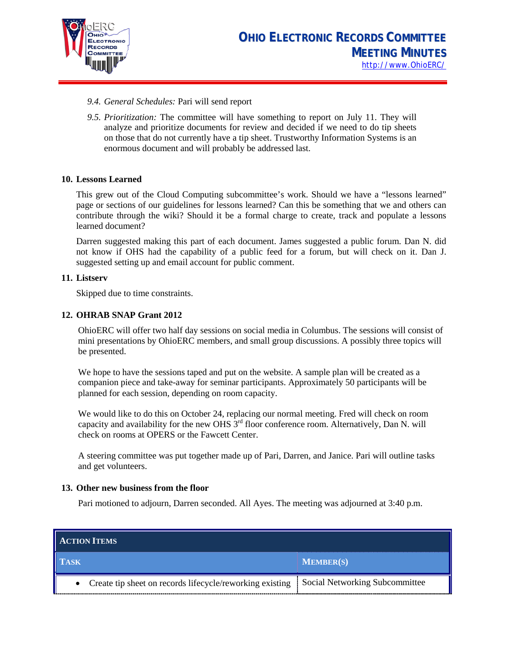

- *9.4. General Schedules:* Pari will send report
- *9.5. Prioritization:* The committee will have something to report on July 11. They will analyze and prioritize documents for review and decided if we need to do tip sheets on those that do not currently have a tip sheet. Trustworthy Information Systems is an enormous document and will probably be addressed last.

### **10. Lessons Learned**

This grew out of the Cloud Computing subcommittee's work. Should we have a "lessons learned" page or sections of our guidelines for lessons learned? Can this be something that we and others can contribute through the wiki? Should it be a formal charge to create, track and populate a lessons learned document?

Darren suggested making this part of each document. James suggested a public forum. Dan N. did not know if OHS had the capability of a public feed for a forum, but will check on it. Dan J. suggested setting up and email account for public comment.

### **11. Listserv**

Skipped due to time constraints.

### **12. OHRAB SNAP Grant 2012**

OhioERC will offer two half day sessions on social media in Columbus. The sessions will consist of mini presentations by OhioERC members, and small group discussions. A possibly three topics will be presented.

We hope to have the sessions taped and put on the website. A sample plan will be created as a companion piece and take-away for seminar participants. Approximately 50 participants will be planned for each session, depending on room capacity.

We would like to do this on October 24, replacing our normal meeting. Fred will check on room capacity and availability for the new OHS  $3<sup>rd</sup>$  floor conference room. Alternatively, Dan N. will check on rooms at OPERS or the Fawcett Center.

A steering committee was put together made up of Pari, Darren, and Janice. Pari will outline tasks and get volunteers.

#### **13. Other new business from the floor**

Pari motioned to adjourn, Darren seconded. All Ayes. The meeting was adjourned at 3:40 p.m.

| <b>ACTION ITEMS</b>                                        |                                |
|------------------------------------------------------------|--------------------------------|
| <b>TASK</b>                                                | <b>MEMBER(S)</b>               |
| • Create tip sheet on records lifecycle/reworking existing | Social Networking Subcommittee |